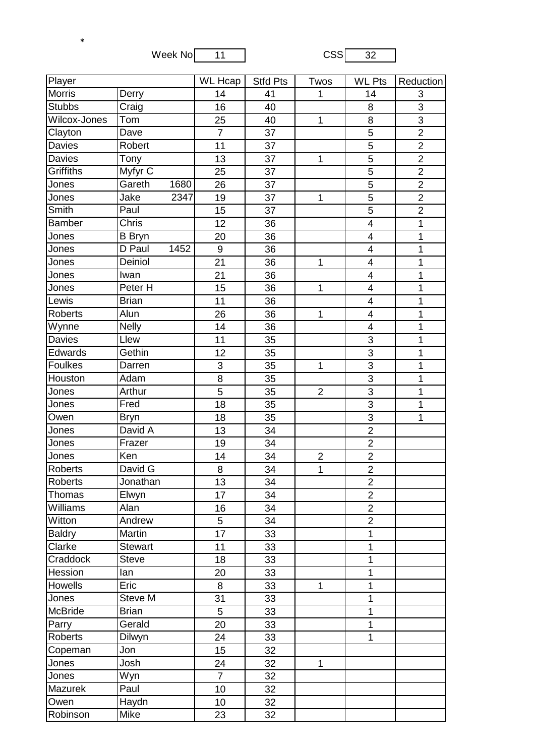Week No  $\begin{array}{|c|c|c|c|}\n\hline\n11 & 0.000000 & 0.000000 & 0.00000 & 0.00000 & 0.00000 & 0.00000 & 0.00000 & 0.00000 & 0.0000 & 0.0000 & 0.0000 & 0.0000 & 0.0000 & 0.0000 & 0.0000 & 0.0000 & 0.0000 & 0.0000 & 0.0000 & 0.0000 & 0.0000 & 0.0000 & 0.$ 

\*

| <b>Player</b>    |                    | <b>WL</b> Hcap | <b>Stfd Pts</b> | Twos | <b>WL Pts</b>  | Reduction               |                |
|------------------|--------------------|----------------|-----------------|------|----------------|-------------------------|----------------|
| Morris           | Derry              |                | 14              | 41   | 1              | 14                      | $\sqrt{3}$     |
| <b>Stubbs</b>    | Craig              |                | 16              | 40   |                | 8                       | 3              |
| Wilcox-Jones     | Tom                |                | 25              | 40   | $\mathbf{1}$   | 8                       | 3              |
| Clayton          | Dave               |                | $\overline{7}$  | 37   |                | 5                       | $\overline{2}$ |
| Davies           | Robert             |                | 11              | 37   |                | 5                       | $\overline{2}$ |
| Davies           | Tony               |                | 13              | 37   | $\mathbf{1}$   | $\overline{5}$          | $\overline{2}$ |
| <b>Griffiths</b> | Myfyr C            |                | 25              | 37   |                | 5                       | $\overline{2}$ |
| Jones            | Gareth             | 1680           | 26              | 37   |                | 5                       | $\overline{2}$ |
| Jones            | Jake               | 2347           | 19              | 37   | $\mathbf{1}$   | 5                       | $\overline{2}$ |
| Smith            | Paul               |                | 15              | 37   |                | 5                       | $\overline{2}$ |
| <b>Bamber</b>    | Chris              |                | 12              | 36   |                | $\overline{4}$          | $\overline{1}$ |
| Jones            | <b>B</b> Bryn      |                | 20              | 36   |                | $\overline{\mathbf{4}}$ | $\mathbf 1$    |
| Jones            | D Paul             | 1452           | 9               | 36   |                | $\overline{\mathbf{4}}$ | 1              |
| Jones            | Deiniol            |                | 21              | 36   | $\mathbf 1$    | $\overline{\mathbf{4}}$ | $\mathbf 1$    |
| Jones            | Iwan               |                | 21              | 36   |                | $\overline{\mathbf{4}}$ | $\mathbf 1$    |
| Jones            | Peter <sub>H</sub> |                | 15              | 36   | $\mathbf{1}$   | $\overline{\mathbf{4}}$ | $\overline{1}$ |
| Lewis            | <b>Brian</b>       |                | 11              | 36   |                | $\overline{\mathbf{4}}$ | $\mathbf 1$    |
| <b>Roberts</b>   | Alun               |                | 26              | 36   | 1              | $\overline{\mathbf{4}}$ | 1              |
| Wynne            | <b>Nelly</b>       |                | 14              | 36   |                | $\overline{4}$          | $\mathbf 1$    |
| Davies           | Llew               |                | 11              | 35   |                | 3                       | $\mathbf 1$    |
| Edwards          | Gethin             |                | 12              | 35   |                | $\overline{3}$          | $\overline{1}$ |
| Foulkes          | Darren             |                | 3               | 35   | $\mathbf{1}$   | 3                       | $\mathbf 1$    |
| Houston          | Adam               |                | 8               | 35   |                | 3                       | 1              |
| Jones            | Arthur             |                | 5               | 35   | $\overline{2}$ | 3                       | $\mathbf 1$    |
| Jones            | Fred               |                | 18              | 35   |                | 3                       | $\mathbf 1$    |
| Owen             | <b>Bryn</b>        |                | 18              | 35   |                | $\overline{3}$          | $\overline{1}$ |
| Jones            | David A            |                | 13              | 34   |                | $\overline{2}$          |                |
| Jones            | Frazer             |                | 19              | 34   |                | $\overline{2}$          |                |
| Jones            | Ken                |                | 14              | 34   | $\overline{c}$ | $\overline{2}$          |                |
| <b>Roberts</b>   | David G            |                | 8               | 34   | $\mathbf{1}$   | $\overline{2}$          |                |
| <b>Roberts</b>   | Jonathan           |                | 13              | 34   |                | $\overline{2}$          |                |
| Thomas           | Elwyn              |                | 17              | 34   |                | $\overline{2}$          |                |
| Williams         | Alan               |                | 16              | 34   |                | $\overline{c}$          |                |
| Witton           | Andrew             |                | 5               | 34   |                | $\overline{2}$          |                |
| <b>Baldry</b>    | Martin             |                | 17              | 33   |                | 1                       |                |
| Clarke           | <b>Stewart</b>     |                | 11              | 33   |                | $\mathbf{1}$            |                |
| Craddock         | <b>Steve</b>       |                | 18              | 33   |                | 1                       |                |
| Hession          | lan                |                | 20              | 33   |                | 1                       |                |
| <b>Howells</b>   | Eric               |                | 8               | 33   | $\mathbf{1}$   | $\mathbf{1}$            |                |
| Jones            | Steve M            |                | 31              | 33   |                | 1                       |                |
| <b>McBride</b>   | <b>Brian</b>       |                | 5               | 33   |                | $\mathbf{1}$            |                |
| Parry            | Gerald             |                | 20              | 33   |                | 1                       |                |
| <b>Roberts</b>   | Dilwyn             |                | 24              | 33   |                | 1                       |                |
| Copeman          | Jon                |                | 15              | 32   |                |                         |                |
| Jones            | Josh               |                | 24              | 32   | $\mathbf{1}$   |                         |                |
| Jones            | Wyn                |                | $\overline{7}$  | 32   |                |                         |                |
| Mazurek          | Paul               |                | 10              | 32   |                |                         |                |
| Owen             | Haydn              |                | 10              | 32   |                |                         |                |
| Robinson         | Mike               |                | 23              | 32   |                |                         |                |